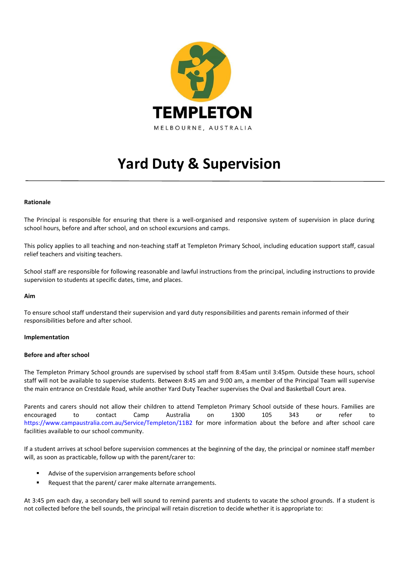

# **Yard Duty & Supervision**

# **Rationale**

The Principal is responsible for ensuring that there is a well-organised and responsive system of supervision in place during school hours, before and after school, and on school excursions and camps.

This policy applies to all teaching and non-teaching staff at Templeton Primary School, including education support staff, casual relief teachers and visiting teachers.

School staff are responsible for following reasonable and lawful instructions from the principal, including instructions to provide supervision to students at specific dates, time, and places.

#### **Aim**

To ensure school staff understand their supervision and yard duty responsibilities and parents remain informed of their responsibilities before and after school.

#### **Implementation**

#### **Before and after school**

The Templeton Primary School grounds are supervised by school staff from 8:45am until 3:45pm. Outside these hours, school staff will not be available to supervise students. Between 8:45 am and 9:00 am, a member of the Principal Team will supervise the main entrance on Crestdale Road, while another Yard Duty Teacher supervises the Oval and Basketball Court area.

Parents and carers should not allow their children to attend Templeton Primary School outside of these hours. Families are encouraged to contact Camp Australia on 1300 105 343 or refer to <https://www.campaustralia.com.au/Service/Templeton/11B2> for more information about the before and after school care facilities available to our school community.

If a student arrives at school before supervision commences at the beginning of the day, the principal or nominee staff member will, as soon as practicable, follow up with the parent/carer to:

- Advise of the supervision arrangements before school
- Request that the parent/ carer make alternate arrangements.

At 3:45 pm each day, a secondary bell will sound to remind parents and students to vacate the school grounds. If a student is not collected before the bell sounds, the principal will retain discretion to decide whether it is appropriate to: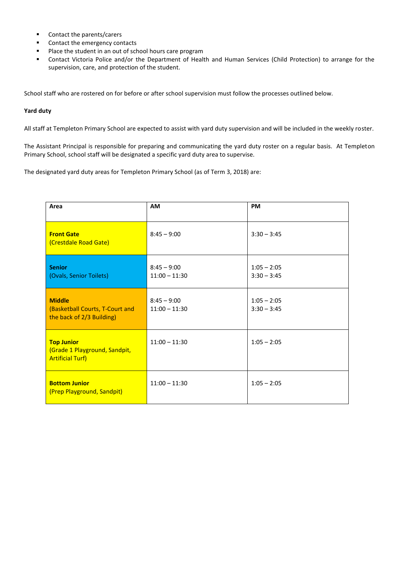- Contact the parents/carers
- Contact the emergency contacts
- Place the student in an out of school hours care program
- Contact Victoria Police and/or the Department of Health and Human Services (Child Protection) to arrange for the supervision, care, and protection of the student.

School staff who are rostered on for before or after school supervision must follow the processes outlined below.

## **Yard duty**

All staff at Templeton Primary School are expected to assist with yard duty supervision and will be included in the weekly roster.

The Assistant Principal is responsible for preparing and communicating the yard duty roster on a regular basis. At Templeton Primary School, school staff will be designated a specific yard duty area to supervise.

The designated yard duty areas for Templeton Primary School (as of Term 3, 2018) are:

| Area                                                                          | AM                               | <b>PM</b>                      |
|-------------------------------------------------------------------------------|----------------------------------|--------------------------------|
| <b>Front Gate</b><br>(Crestdale Road Gate)                                    | $8:45 - 9:00$                    | $3:30 - 3:45$                  |
| <b>Senior</b><br>(Ovals, Senior Toilets)                                      | $8:45 - 9:00$<br>$11:00 - 11:30$ | $1:05 - 2:05$<br>$3:30 - 3:45$ |
| <b>Middle</b><br>(Basketball Courts, T-Court and<br>the back of 2/3 Building) | $8:45 - 9:00$<br>$11:00 - 11:30$ | $1:05 - 2:05$<br>$3:30 - 3:45$ |
| <b>Top Junior</b><br>(Grade 1 Playground, Sandpit,<br><b>Artificial Turf)</b> | $11:00 - 11:30$                  | $1:05 - 2:05$                  |
| <b>Bottom Junior</b><br>(Prep Playground, Sandpit)                            | $11:00 - 11:30$                  | $1:05 - 2:05$                  |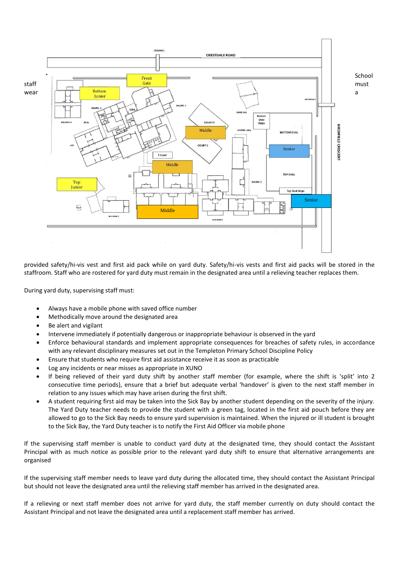

provided safety/hi-vis vest and first aid pack while on yard duty. Safety/hi-vis vests and first aid packs will be stored in the staffroom. Staff who are rostered for yard duty must remain in the designated area until a relieving teacher replaces them.

During yard duty, supervising staff must:

- Always have a mobile phone with saved office number
- Methodically move around the designated area
- Be alert and vigilant
- Intervene immediately if potentially dangerous or inappropriate behaviour is observed in the yard
- Enforce behavioural standards and implement appropriate consequences for breaches of safety rules, in accordance with any relevant disciplinary measures set out in the Templeton Primary School Discipline Policy
- Ensure that students who require first aid assistance receive it as soon as practicable
- Log any incidents or near misses as appropriate in XUNO
- If being relieved of their yard duty shift by another staff member (for example, where the shift is 'split' into 2 consecutive time periods), ensure that a brief but adequate verbal 'handover' is given to the next staff member in relation to any issues which may have arisen during the first shift.
- A student requiring first aid may be taken into the Sick Bay by another student depending on the severity of the injury. The Yard Duty teacher needs to provide the student with a green tag, located in the first aid pouch before they are allowed to go to the Sick Bay needs to ensure yard supervision is maintained. When the injured or ill student is brought to the Sick Bay, the Yard Duty teacher is to notify the First Aid Officer via mobile phone

If the supervising staff member is unable to conduct yard duty at the designated time, they should contact the Assistant Principal with as much notice as possible prior to the relevant yard duty shift to ensure that alternative arrangements are organised

If the supervising staff member needs to leave yard duty during the allocated time, they should contact the Assistant Principal but should not leave the designated area until the relieving staff member has arrived in the designated area.

If a relieving or next staff member does not arrive for yard duty, the staff member currently on duty should contact the Assistant Principal and not leave the designated area until a replacement staff member has arrived.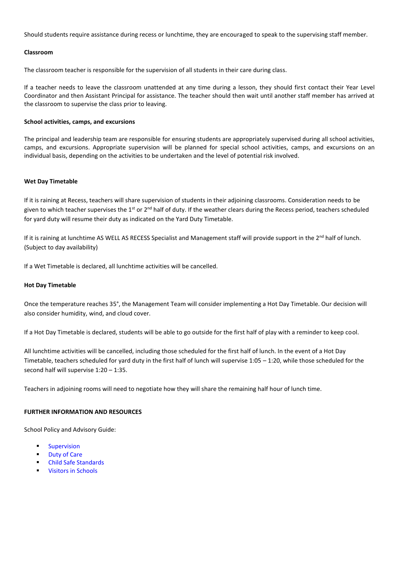Should students require assistance during recess or lunchtime, they are encouraged to speak to the supervising staff member.

# **Classroom**

The classroom teacher is responsible for the supervision of all students in their care during class.

If a teacher needs to leave the classroom unattended at any time during a lesson, they should first contact their Year Level Coordinator and then Assistant Principal for assistance. The teacher should then wait until another staff member has arrived at the classroom to supervise the class prior to leaving.

#### **School activities, camps, and excursions**

The principal and leadership team are responsible for ensuring students are appropriately supervised during all school activities, camps, and excursions. Appropriate supervision will be planned for special school activities, camps, and excursions on an individual basis, depending on the activities to be undertaken and the level of potential risk involved.

## **Wet Day Timetable**

If it is raining at Recess, teachers will share supervision of students in their adjoining classrooms. Consideration needs to be given to which teacher supervises the  $1^{st}$  or 2<sup>nd</sup> half of duty. If the weather clears during the Recess period, teachers scheduled for yard duty will resume their duty as indicated on the Yard Duty Timetable.

If it is raining at lunchtime AS WELL AS RECESS Specialist and Management staff will provide support in the  $2^{nd}$  half of lunch. (Subject to day availability)

If a Wet Timetable is declared, all lunchtime activities will be cancelled.

# **Hot Day Timetable**

Once the temperature reaches 35°, the Management Team will consider implementing a Hot Day Timetable. Our decision will also consider humidity, wind, and cloud cover.

If a Hot Day Timetable is declared, students will be able to go outside for the first half of play with a reminder to keep cool.

All lunchtime activities will be cancelled, including those scheduled for the first half of lunch. In the event of a Hot Day Timetable, teachers scheduled for yard duty in the first half of lunch will supervise 1:05 – 1:20, while those scheduled for the second half will supervise 1:20 – 1:35.

Teachers in adjoining rooms will need to negotiate how they will share the remaining half hour of lunch time.

## **FURTHER INFORMATION AND RESOURCES**

School Policy and Advisory Guide:

- **[Supervision](http://www.education.vic.gov.au/school/principals/spag/safety/pages/supervision.aspx)**
- [Duty of Care](http://www.education.vic.gov.au/school/principals/spag/safety/Pages/dutyofcare.aspx)
- **[Child Safe Standards](http://www.education.vic.gov.au/school/principals/spag/safety/Pages/childsafestandards.aspx)**
- **[Visitors in Schools](http://www.education.vic.gov.au/school/principals/spag/safety/Pages/visitorsinschool.aspx)**